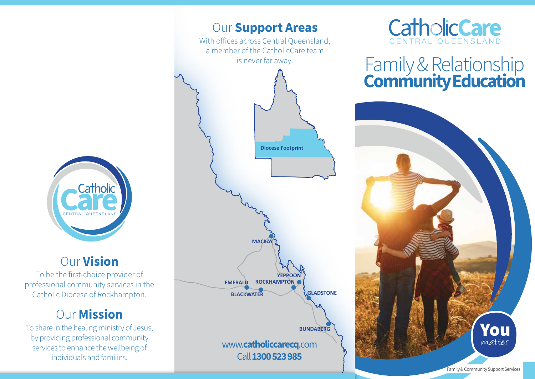

## Our Vision

To be the first-choice provider of professional community services in the Catholic Diocese of Rockhampton.

# Our Mission

To share in the healing ministry of Jesus, by providing professional community services to enhance the wellbeing of individuals and families.





# Family & Relationship Community Education